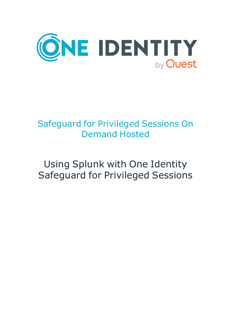

## Safeguard for Privileged Sessions On Demand Hosted

# Using Splunk with One Identity Safeguard for Privileged Sessions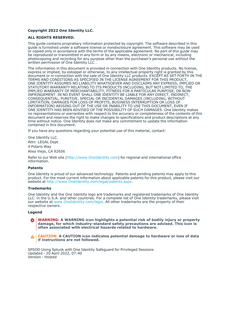#### **Copyright 2022 One Identity LLC.**

#### **ALL RIGHTS RESERVED.**

This guide contains proprietary information protected by copyright. The software described in this guide is furnished under a software license or nondisclosure agreement. This software may be used or copied only in accordance with the terms of the applicable agreement. No part of this guide may be reproduced or transmitted in any form or by any means, electronic or mechanical, including photocopying and recording for any purpose other than the purchaser's personal use without the written permission of One Identity LLC .

The information in this document is provided in connection with One Identity products. No license, express or implied, by estoppel or otherwise, to any intellectual property right is granted by this document or in connection with the sale of One Identity LLC products. EXCEPT AS SET FORTH IN THE TERMS AND CONDITIONS AS SPECIFIED IN THE LICENSE AGREEMENT FOR THIS PRODUCT, ONE IDENTITY ASSUMES NO LIABILITY WHATSOEVER AND DISCLAIMS ANY EXPRESS, IMPLIED OR STATUTORY WARRANTY RELATING TO ITS PRODUCTS INCLUDING, BUT NOT LIMITED TO, THE IMPLIED WARRANTY OF MERCHANTABILITY, FITNESS FOR A PARTICULAR PURPOSE, OR NON-INFRINGEMENT. IN NO EVENT SHALL ONE IDENTITY BE LIABLE FOR ANY DIRECT, INDIRECT, CONSEQUENTIAL, PUNITIVE, SPECIAL OR INCIDENTAL DAMAGES (INCLUDING, WITHOUT LIMITATION, DAMAGES FOR LOSS OF PROFITS, BUSINESS INTERRUPTION OR LOSS OF INFORMATION) ARISING OUT OF THE USE OR INABILITY TO USE THIS DOCUMENT, EVEN IF ONE IDENTITY HAS BEEN ADVISED OF THE POSSIBILITY OF SUCH DAMAGES. One Identity makes no representations or warranties with respect to the accuracy or completeness of the contents of this document and reserves the right to make changes to specifications and product descriptions at any time without notice. One Identity does not make any commitment to update the information contained in this document.

If you have any questions regarding your potential use of this material, contact:

One Identity LLC. Attn: LEGAL Dept 4 Polaris Way Aliso Viejo, CA 92656

Refer to our Web site [\(http://www.OneIdentity.com](http://www.oneidentity.com/)) for regional and international office information.

#### **Patents**

One Identity is proud of our advanced technology. Patents and pending patents may apply to this product. For the most current information about applicable patents for this product, please visit our website at [http://www.OneIdentity.com/legal/patents.aspx.](http://www.oneidentity.com/legal/patents.aspx)

#### **Trademarks**

One Identity and the One Identity logo are trademarks and registered trademarks of One Identity LLC. in the U.S.A. and other countries. For a complete list of One Identity trademarks, please visit our website at [www.OneIdentity.com/legal](http://www.oneidentity.com/legal). All other trademarks are the property of their respective owners.

#### **Legend**

**WARNING: A WARNING icon highlights a potential risk of bodily injury or property** œ **damage, for which industry-standard safety precautions are advised. This icon is often associated with electrical hazards related to hardware.**

**CAUTION: A CAUTION icon indicates potential damage to hardware or loss of data if instructions are not followed.**

SPSOD Using Splunk with One Identity Safeguard for Privileged Sessions Updated - 20 April 2022, 07:40 Version - Hosted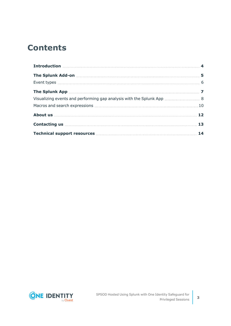## **Contents**

| Introduction <b>Material Constitution</b> 4 |  |
|---------------------------------------------|--|
|                                             |  |
|                                             |  |
|                                             |  |
|                                             |  |
|                                             |  |
|                                             |  |
|                                             |  |
|                                             |  |

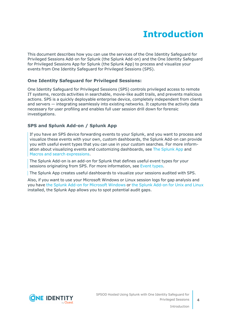## **Introduction**

<span id="page-3-0"></span>This document describes how you can use the services of the One Identity Safeguard for Privileged Sessions Add-on for Splunk (the Splunk Add-on) and the One Identity Safeguard for Privileged Sessions App for Splunk (the Splunk App) to process and visualize your events from One Identity Safeguard for Privileged Sessions (SPS).

### **One Identity Safeguard for Privileged Sessions:**

One Identity Safeguard for Privileged Sessions (SPS) controls privileged access to remote IT systems, records activities in searchable, movie-like audit trails, and prevents malicious actions. SPS is a quickly deployable enterprise device, completely independent from clients and servers — integrating seamlessly into existing networks. It captures the activity data necessary for user profiling and enables full user session drill down for forensic investigations.

### **SPS and Splunk Add-on / Splunk App**

If you have an SPS device forwarding events to your Splunk, and you want to process and visualize these events with your own, custom dashboards, the Splunk Add-on can provide you with useful event types that you can use in your custom searches. For more information about visualizing events and customizing dashboards, see The [Splunk](#page-6-0) App and Macros and search [expressions.](#page-9-0)

The Splunk Add-on is an add-on for Splunk that defines useful event types for your sessions originating from SPS. For more information, see [Event](../../../../../Content/Guides/integrations/splunk-app-and-addon/splunk-app-addon-event-types.htm) types.

The Splunk App creates useful dashboards to visualize your sessions audited with SPS.

Also, if you want to use your Microsoft Windows or Linux session logs for gap analysis and you have the Splunk Add-on for [Microsoft](https://splunkbase.splunk.com/app/742/) Windows or the Splunk [Add-on](https://splunkbase.splunk.com/app/833/) for Unix and Linux installed, the Splunk App allows you to spot potential audit gaps.

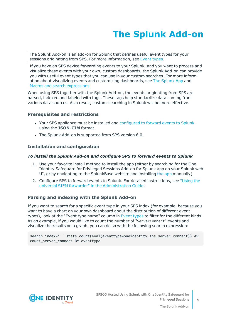# **The Splunk Add-on**

<span id="page-4-0"></span>The Splunk Add-on is an add-on for Splunk that defines useful event types for your sessions originating from SPS. For more information, see [Event](../../../../../Content/Guides/integrations/splunk-app-and-addon/splunk-app-addon-event-types.htm) types.

If you have an SPS device forwarding events to your Splunk, and you want to process and visualize these events with your own, custom dashboards, the Splunk Add-on can provide you with useful event types that you can use in your custom searches. For more information about visualizing events and customizing dashboards, see The [Splunk](#page-6-0) App and Macros and search [expressions.](#page-9-0)

When using SPS together with the Splunk Add-on, the events originating from SPS are parsed, indexed and labeled with tags. These tags help standardize data coming from various data sources. As a result, custom-searching in Splunk will be more effective.

#### **Prerequisites and restrictions**

- Your SPS appliance must be installed and [configured](https://support.oneidentity.com/technical-documents/safeguard-for-privileged-sessions/6.13.1/administration-guide/basic-settings/forwarding-data-to-third-party-systems/) to forward events to Splunk, using the **JSON-CIM** format.
- The Splunk Add-on is supported from SPS version 6.0.

#### **Installation and configuration**

#### *To install the Splunk Add-on and configure SPS to forward events to Splunk*

- 1. Use your favorite install method to install the app (either by searching for the One Identity Safeguard for Privileged Sessions Add-on for Splunk app on your Splunk web UI, or by navigating to the SplunkBase website and installing the [app](https://splunkbase.splunk.com/app/4502/) manually).
- 2. Configure SPS to forward events to Splunk. For detailed instructions, see ["Using](https://support.oneidentity.com/technical-documents/safeguard-for-privileged-sessions/6.13.1/administration-guide/basic-settings/forwarding-data-to-third-party-systems/using-the-universal-siem-forwarder/) the universal SIEM forwarder" in the [Administration](https://support.oneidentity.com/technical-documents/safeguard-for-privileged-sessions/6.13.1/administration-guide/basic-settings/forwarding-data-to-third-party-systems/using-the-universal-siem-forwarder/) Guide.

#### **Parsing and indexing with the Splunk Add-on**

If you want to search for a specific event type in your SPS index (for example, because you want to have a chart on your own dashboard about the distribution of different event types), look at the "Event type name" column in [Event](#page-5-0) types to filter for the different kinds. As an example, if you would like to count the number of "ServerConnect" events and visualize the results on a graph, you can do so with the following search expression:

search index=\* | stats count(eval(eventtype=oneidentity\_sps\_server\_connect)) AS count server connect BY eventtype

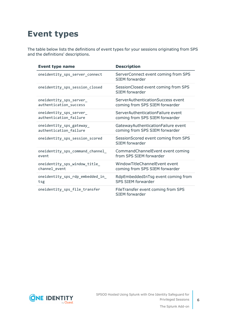## <span id="page-5-0"></span>**Event types**

The table below lists the definitions of event types for your sessions originating from SPS and the definitions' descriptions.

| <b>Event type name</b>           | <b>Description</b>                                          |
|----------------------------------|-------------------------------------------------------------|
| oneidentity_sps_server_connect   | ServerConnect event coming from SPS<br>SIEM forwarder       |
| oneidentity_sps_session_closed   | SessionClosed event coming from SPS<br>SIFM forwarder       |
| oneidentity_sps_server_          | ServerAuthenticationSuccess event                           |
| authentication_success           | coming from SPS SIEM forwarder                              |
| oneidentity_sps_server_          | ServerAuthenticationFailure event                           |
| authentication_failure           | coming from SPS SIEM forwarder                              |
| oneidentity_sps_gateway_         | GatewayAuthenticationFailure event                          |
| authentication_failure           | coming from SPS SIEM forwarder                              |
| oneidentity_sps_session_scored   | SessionScored event coming from SPS<br>SIEM forwarder       |
| oneidentity_sps_command_channel_ | CommandChannelEvent event coming                            |
| event                            | from SPS SIEM forwarder                                     |
| oneidentity_sps_window_title_    | WindowTitleChannelEvent event                               |
| channel_event                    | coming from SPS SIEM forwarder                              |
| oneidentity_sps_rdp_embedded_in_ | RdpEmbeddedInTsg event coming from                          |
| tsg                              | <b>SPS SIEM forwarder</b>                                   |
| oneidentity_sps_file_transfer    | FileTransfer event coming from SPS<br><b>SIEM</b> forwarder |

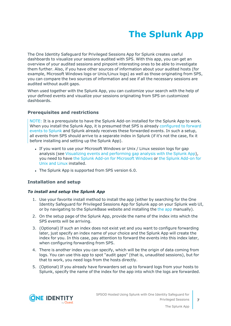# **The Splunk App**

<span id="page-6-0"></span>The One Identity Safeguard for Privileged Sessions App for Splunk creates useful dashboards to visualize your sessions audited with SPS. With this app, you can get an overview of your audited sessions and pinpoint interesting ones to be able to investigate them further. Also, if you have other sources of information about your audited hosts (for example, Microsoft Windows logs or Unix/Linux logs) as well as those originating from SPS, you can compare the two sources of information and see if all the necessary sessions are audited without audit gaps.

When used together with the Splunk App, you can customize your search with the help of your defined events and visualize your sessions originating from SPS on customized dashboards.

### **Prerequisites and restrictions**

NOTE: It is a prerequisite to have the Splunk Add-on installed for the Splunk App to work. When you install the Splunk App, it is presumed that SPS is already [configured](https://support.oneidentity.com/technical-documents/safeguard-for-privileged-sessions/6.13.1/administration-guide/basic-settings/forwarding-data-to-third-party-systems/) to forward events to [Splunk](https://support.oneidentity.com/technical-documents/safeguard-for-privileged-sessions/6.13.1/administration-guide/basic-settings/forwarding-data-to-third-party-systems/) and Splunk already receives these forwarded events. In such a setup, all events from SPS should arrive to a separate index in Splunk (if it's not the case, fix it before installing and setting up the Splunk App).

- If you want to use your Microsoft Windows or Unix / Linux session logs for gap analysis (see Visualizing events and [performing](#page-7-0) gap analysis with the Splunk App), you need to have the Splunk Add-on for [Microsoft](https://splunkbase.splunk.com/app/742/) Windows or the Splunk [Add-on](https://splunkbase.splunk.com/app/833/) for Unix and [Linux](https://splunkbase.splunk.com/app/833/) installed.
- The Splunk App is supported from SPS version 6.0.

### **Installation and setup**

### *To install and setup the Splunk App*

- 1. Use your favorite install method to install the app (either by searching for the One Identity Safeguard for Privileged Sessions App for Splunk app on your Splunk web UI, or by navigating to the SplunkBase website and installing the the [app](https://splunkbase.splunk.com/app/4503/) manually).
- 2. On the setup page of the Splunk App, provide the name of the index into which the SPS events will be arriving.
- 3. (Optional) If such an index does not exist yet and you want to configure forwarding later, just specify an index name of your choice and the Splunk App will create the index for you. In this case, pay attention to forward the events into this index later, when configuring forwarding from SPS.
- 4. There is another index you can specify, which will be the origin of data coming from logs. You can use this app to spot "audit gaps" (that is, unaudited sessions), but for that to work, you need logs from the hosts directly.
- 5. (Optional) If you already have forwarders set up to forward logs from your hosts to Splunk, specify the name of the index for the app into which the logs are forwarded.

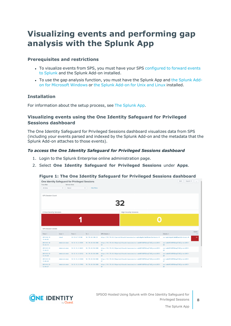## <span id="page-7-0"></span>**Visualizing events and performing gap analysis with the Splunk App**

#### **Prerequisites and restrictions**

- To visualize events from SPS, you must have your SPS [configured](https://support.oneidentity.com/technical-documents/safeguard-for-privileged-sessions/6.13.1/administration-guide/basic-settings/forwarding-data-to-third-party-systems/) to forward events to [Splunk](https://support.oneidentity.com/technical-documents/safeguard-for-privileged-sessions/6.13.1/administration-guide/basic-settings/forwarding-data-to-third-party-systems/) and the Splunk Add-on installed.
- To use the gap analysis function, you must have the [Splunk](https://splunkbase.splunk.com/app/742/) App and the Splunk Addon for [Microsoft](https://splunkbase.splunk.com/app/742/) Windows or the Splunk [Add-on](https://splunkbase.splunk.com/app/833/) for Unix and Linux installed.

#### **Installation**

For information about the setup process, see The [Splunk](#page-6-0) App.

#### **Visualizing events using the One Identity Safeguard for Privileged Sessions dashboard**

The One Identity Safeguard for Privileged Sessions dashboard visualizes data from SPS (including your events parsed and indexed by the Splunk Add-on and the metadata that the Splunk Add-on attaches to those events).

#### *To access the One Identity Safeguard for Privileged Sessions dashboard*

- 1. Login to the Splunk Enterprise online administration page.
- 2. Select **One Identity Safeguard for Privileged Sessions** under **Apps**.

#### **Figure 1: The One Identity Safeguard for Privileged Sessions dashboard**



SPSOD Hosted Using Splunk with One Identity Safeguard for Privileged Sessions



The Splunk App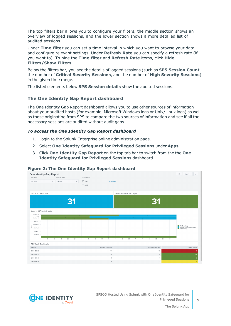The top filters bar allows you to configure your filters, the middle section shows an overview of logged sessions, and the lower section shows a more detailed list of audited sessions.

Under **Time filter** you can set a time interval in which you want to browse your data, and configure relevant settings. Under **Refresh Rate** you can specify a refresh rate (if you want to). To hide the **Time filter** and **Refresh Rate** items, click **Hide Filters/Show Filters**.

Below the filters bar, you see the details of logged sessions (such as **SPS Session Count**, the number of **Critical Severity Sessions**, and the number of **High Severity Sessions**) in the given time range.

The listed elements below **SPS Session details** show the audited sessions.

### **The One Identity Gap Report dashboard**

The One Identity Gap Report dashboard allows you to use other sources of information about your audited hosts (for example, Microsoft Windows logs or Unix/Linux logs) as well as those originating from SPS to compare the two sources of information and see if all the necessary sessions are audited without audit gaps

#### *To access the One Identity Gap Report dashboard*

- 1. Login to the Splunk Enterprise online administration page.
- 2. Select **One Identity Safeguard for Privileged Sessions** under **Apps**.
- 3. Click **One Identity Gap Report** on the top tab bar to switch from the the **One Identity Safeguard for Privileged Sessions** dashboard.



#### **Figure 2: The One Identity Gap Report dashboard**

SPSOD Hosted Using Splunk with One Identity Safeguard for Privileged Sessions



The Splunk App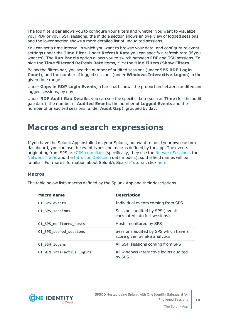The top filters bar allows you to configure your filters and whether you want to visualize your RDP or your SSH sessions, the middle section shows an overview of logged sessions, and the lower section shows a more detailed list of unaudited sessions.

You can set a time interval in which you want to browse your data, and configure relevant settings under the **Time filter**. Under **Refresh Rate** you can specify a refresh rate (if you want to). The **Run Panels** option allows you to switch between RDP and SSH sessions. To hide the **Time filter**and **Refresh Rate** items, click the **Hide Filters/Show Filters**.

Below the filters bar, you see the number of audited sessions (under **SPS RDP Login Count**), and the number of logged sessions (under **Windows Interactive Logins**) in the given time range.

Under **Gaps in RDP Login Events**, a bar chart shows the proportion between audited and logged sessions, by day.

Under **RDP Audit Gap Details**, you can see the specific data (such as **Time** (for the audit gap date), the number of **Audited Events**, the number of **Logged Events** and the number of unaudited sessions, under **Audit Gap**), grouped by day.

### <span id="page-9-0"></span>**Macros and search expressions**

If you have the Splunk App installed on your Splunk, but want to build your own custom dashboard, you can use the event types and macros defined by the app. The events originating from SPS are [CIM-compliant](https://docs.splunk.com/Documentation/CIM/4.13.0/User/Overview) (specifically, they use the Network [Sessions,](https://docs.splunk.com/Documentation/CIM/4.13.0/User/NetworkSessions) the [Network](https://docs.splunk.com/Documentation/CIM/4.13.0/User/NetworkTraffic) Traffic and the Intrusion [Detection](https://docs.splunk.com/Documentation/CIM/4.13.0/User/IntrusionDetection) data models), so the field names will be familiar. For more information about Splunk's Search Tutorial, click [here.](https://docs.splunk.com/Documentation/Splunk/7.2.6/SearchTutorial/WelcometotheSearchTutorial)

#### <span id="page-9-1"></span>**Macros**

The table below lists macros defined by the Splunk App and their descriptions.

| <b>Macro name</b>         | <b>Description</b>                                                   |
|---------------------------|----------------------------------------------------------------------|
| OI SPS events             | Individual events coming from SPS                                    |
| OI SPS sessions           | Sessions audited by SPS (events<br>correlated into full sessions)    |
| OI SPS monitored hosts    | Hosts monitored by SPS                                               |
| OI SPS scored sessions    | Sessions audited by SPS which have a<br>score given by SPS analytics |
| OI SSH logins             | All SSH sessions coming from SPS                                     |
| OI WIN interactive logins | All windows interactive logins audited<br>by SPS                     |

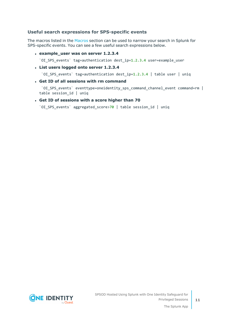### **Useful search expressions for SPS-specific events**

The macros listed in the [Macros](#page-9-1) section can be used to narrow your search in Splunk for SPS-specific events. You can see a few useful search expressions below.

<sup>l</sup> **example\_user was on server 1.2.3.4**

`OI\_SPS\_events` tag=authentication dest\_ip=1.2.3.4 user=example\_user

<sup>l</sup> **List users logged onto server 1.2.3.4**

`OI SPS events` tag=authentication dest ip=1.2.3.4 | table user | uniq

<sup>l</sup> **Get ID of all sessions with rm command**

`OI SPS events` eventtype=oneidentity sps command channel event command=rm | table session\_id | uniq

#### <sup>l</sup> **Get ID of sessions with a score higher than 70**

`OI\_SPS\_events` aggregated\_score>70 | table session\_id | uniq



The Splunk App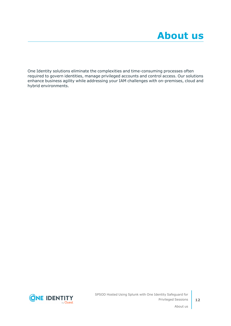<span id="page-11-0"></span>One Identity solutions eliminate the complexities and time-consuming processes often required to govern identities, manage privileged accounts and control access. Our solutions enhance business agility while addressing your IAM challenges with on-premises, cloud and hybrid environments.

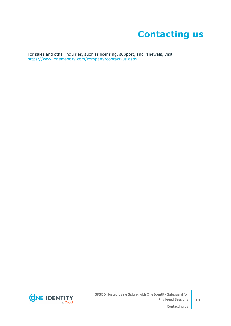## **Contacting us**

<span id="page-12-0"></span>For sales and other inquiries, such as licensing, support, and renewals, visit [https://www.oneidentity.com/company/contact-us.aspx.](https://www.oneidentity.com/company/contact-us.aspx)

**ONE IDENTITY** by **Quest**